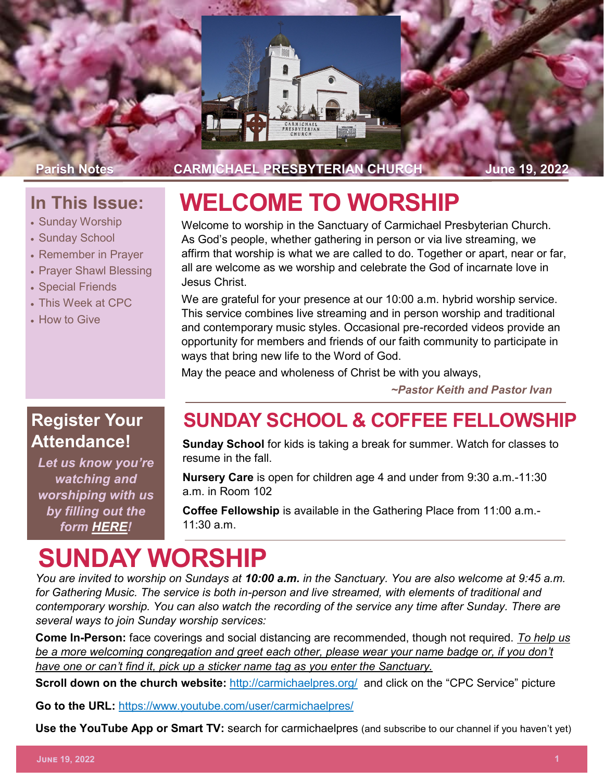

Parish Notes **CARMICHAEL PRESBYTERIAN CHURCH** June 19, 2022

#### **In This Issue:**

- Sunday Worship
- Sunday School
- Remember in Prayer
- Prayer Shawl Blessing
- Special Friends
- This Week at CPC
- How to Give

# **WELCOME TO WORSHIP**

Welcome to worship in the Sanctuary of Carmichael Presbyterian Church. As God's people, whether gathering in person or via live streaming, we affirm that worship is what we are called to do. Together or apart, near or far, all are welcome as we worship and celebrate the God of incarnate love in Jesus Christ.

We are grateful for your presence at our 10:00 a.m. hybrid worship service. This service combines live streaming and in person worship and traditional and contemporary music styles. Occasional pre-recorded videos provide an opportunity for members and friends of our faith community to participate in ways that bring new life to the Word of God.

May the peace and wholeness of Christ be with you always,

*~Pastor Keith and Pastor Ivan*

# **Attendance!**

*Let us know you're watching and worshiping with us by filling out the form [HERE!](https://forms.gle/8oYkzUYJxDX1nQBM8)*

#### **Register Your SUNDAY SCHOOL & COFFEE FELLOWSHIP**

**Sunday School** for kids is taking a break for summer. Watch for classes to resume in the fall.

**Nursery Care** is open for children age 4 and under from 9:30 a.m.-11:30 a.m. in Room 102

**Coffee Fellowship** is available in the Gathering Place from 11:00 a.m.- 11:30 a.m.

# **SUNDAY WORSHIP**

*You are invited to worship on Sundays at 10:00 a.m. in the Sanctuary. You are also welcome at 9:45 a.m. for Gathering Music. The service is both in-person and live streamed, with elements of traditional and contemporary worship. You can also watch the recording of the service any time after Sunday. There are several ways to join Sunday worship services:*

**Come In-Person:** face coverings and social distancing are recommended, though not required. *To help us be a more welcoming congregation and greet each other, please wear your name badge or, if you don't have one or can't find it, pick up a sticker name tag as you enter the Sanctuary.* 

**Scroll down on the church website:** <http://carmichaelpres.org/> and click on the "CPC Service" picture

**Go to the URL:** <https://www.youtube.com/user/carmichaelpres/>

**Use the YouTube App or Smart TV:** search for carmichaelpres (and subscribe to our channel if you haven't yet)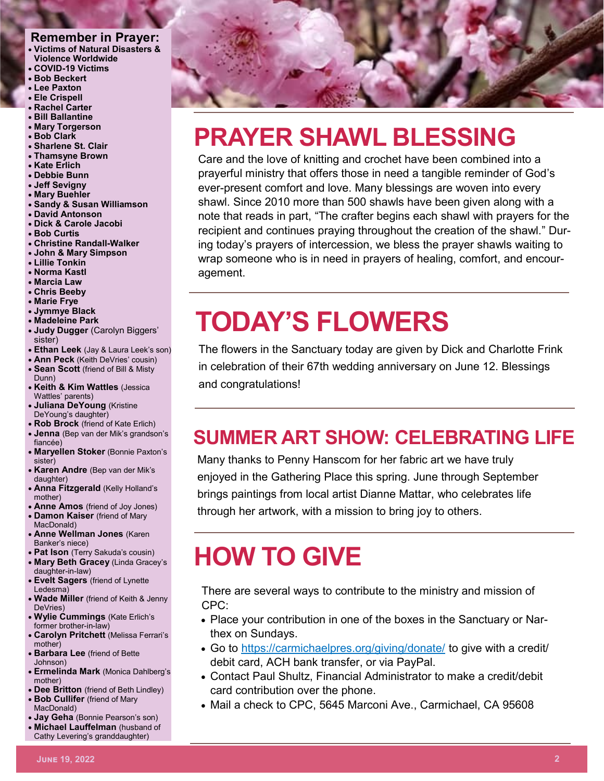#### **Remember in Prayer:**

- **Victims of Natural Disasters & Violence Worldwide**
- **COVID-19 Victims**
- **Bob Beckert**
- **Lee Paxton**
- **Ele Crispell**
- **Rachel Carter**
- **Bill Ballantine** • **Mary Torgerson**
- **Bob Clark**
- **Sharlene St. Clair**
- **Thamsyne Brown**
- **Kate Erlich**
- **Debbie Bunn**
- **Jeff Sevigny**
- **Mary Buehler**
- **Sandy & Susan Williamson**
- **David Antonson**
- **Dick & Carole Jacobi**
- **Bob Curtis**
- **Christine Randall-Walker**
- **John & Mary Simpson**
- **Lillie Tonkin**
- **Norma Kastl**
- **Marcia Law**
- **Chris Beeby**
- **Marie Frye**
- **Jymmye Black**
- **Madeleine Park**
- **Judy Dugger** (Carolyn Biggers' sister)
- **Ethan Leek** (Jay & Laura Leek's son)
- **Ann Peck** (Keith DeVries' cousin)
- **Sean Scott** (friend of Bill & Misty Dunn)
- **Keith & Kim Wattles** (Jessica Wattles' parents)
- **Juliana DeYoung** (Kristine DeYoung's daughter)
- **Rob Brock** (friend of Kate Erlich)
- **Jenna** (Bep van der Mik's grandson's fiancée)
- **Maryellen Stoker** (Bonnie Paxton's sister)
- **Karen Andre** (Bep van der Mik's daughter)
- **Anna Fitzgerald** (Kelly Holland's mother)
- **Anne Amos** (friend of Joy Jones)
- **Damon Kaiser** (friend of Mary MacDonald)
- **Anne Wellman Jones** (Karen Banker's niece)
- **Pat Ison** (Terry Sakuda's cousin)
- **Mary Beth Gracey** (Linda Gracey's daughter-in-law)
- **Evelt Sagers** (friend of Lynette Ledesma)
- **Wade Miller** (friend of Keith & Jenny DeVries)
- **Wylie Cummings** (Kate Erlich's former brother-in-law)
- **Carolyn Pritchett** (Melissa Ferrari's mother)
- **Barbara Lee** (friend of Bette Johnson)
- **Ermelinda Mark** (Monica Dahlberg's mother)
- **Dee Britton** (friend of Beth Lindley)
- **Bob Cullifer** (friend of Mary MacDonald)
- **Jay Geha** (Bonnie Pearson's son)
- **Michael Lauffelman** (husband of Cathy Levering's granddaughter)



# **PRAYER SHAWL BLESSING**

Care and the love of knitting and crochet have been combined into a prayerful ministry that offers those in need a tangible reminder of God's ever-present comfort and love. Many blessings are woven into every shawl. Since 2010 more than 500 shawls have been given along with a note that reads in part, "The crafter begins each shawl with prayers for the recipient and continues praying throughout the creation of the shawl." During today's prayers of intercession, we bless the prayer shawls waiting to wrap someone who is in need in prayers of healing, comfort, and encouragement.

# **TODAY'S FLOWERS**

The flowers in the Sanctuary today are given by Dick and Charlotte Frink in celebration of their 67th wedding anniversary on June 12. Blessings and congratulations!

### **SUMMER ART SHOW: CELEBRATING LIFE**

Many thanks to Penny Hanscom for her fabric art we have truly enjoyed in the Gathering Place this spring. June through September brings paintings from local artist Dianne Mattar, who celebrates life through her artwork, with a mission to bring joy to others.

# **HOW TO GIVE**

There are several ways to contribute to the ministry and mission of CPC:

- Place your contribution in one of the boxes in the Sanctuary or Narthex on Sundays.
- Go to <https://carmichaelpres.org/giving/donate/> to give with a credit/ debit card, ACH bank transfer, or via PayPal.
- Contact Paul Shultz, Financial Administrator to make a credit/debit card contribution over the phone.
- Mail a check to CPC, 5645 Marconi Ave., Carmichael, CA 95608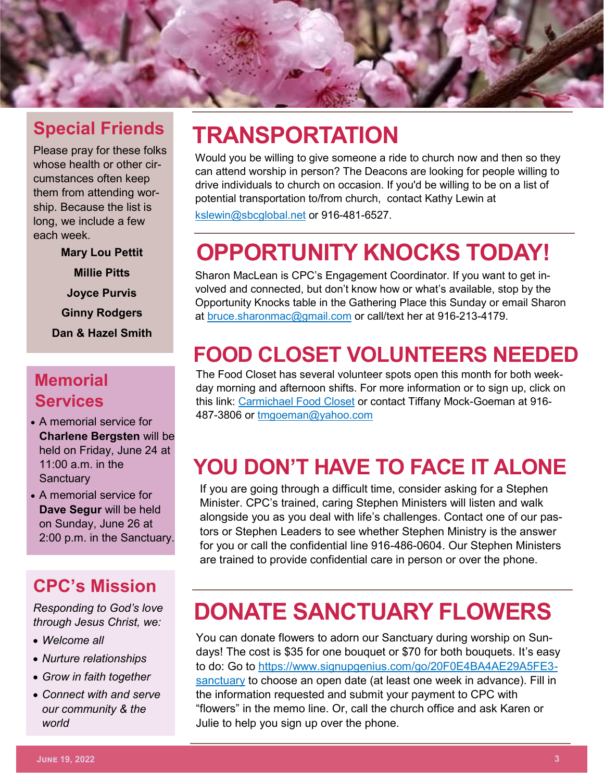

#### **Special Friends**

Please pray for these folks whose health or other circumstances often keep them from attending worship. Because the list is long, we include a few each week.

> **Mary Lou Pettit Millie Pitts Joyce Purvis Ginny Rodgers Dan & Hazel Smith**

#### **Memorial Services**

- A memorial service for **Charlene Bergsten** will be held on Friday, June 24 at  $11:00$  a.m. in the **Sanctuary**
- A memorial service for **Dave Segur** will be held on Sunday, June 26 at 2:00 p.m. in the Sanctuary.

#### **CPC's Mission**

*Responding to God's love through Jesus Christ, we:*

- *Welcome all*
- *Nurture relationships*
- *Grow in faith together*
- *Connect with and serve our community & the world*

# **TRANSPORTATION**

Would you be willing to give someone a ride to church now and then so they can attend worship in person? The Deacons are looking for people willing to drive individuals to church on occasion. If you'd be willing to be on a list of potential transportation to/from church, contact Kathy Lewin at [kslewin@sbcglobal.net](mailto:kslewin@sbcglobal.net) or 916-481-6527.

# **OPPORTUNITY KNOCKS TODAY!**

Sharon MacLean is CPC's Engagement Coordinator. If you want to get involved and connected, but don't know how or what's available, stop by the Opportunity Knocks table in the Gathering Place this Sunday or email Sharon at [bruce.sharonmac@gmail.com](mailto:bruce.sharonmac@gmail.com) or call/text her at 916-213-4179.

### **FOOD CLOSET VOLUNTEERS NEEDED**

The Food Closet has several volunteer spots open this month for both weekday morning and afternoon shifts. For more information or to sign up, click on this link: [Carmichael Food Closet](https://signup.com/go/aZUPgfc) or contact Tiffany Mock-Goeman at 916- 487-3806 or [tmgoeman@yahoo.com](mailto:tmgoeman@yahoo.com)

# **YOU DON'T HAVE TO FACE IT ALONE**

If you are going through a difficult time, consider asking for a Stephen Minister. CPC's trained, caring Stephen Ministers will listen and walk alongside you as you deal with life's challenges. Contact one of our pastors or Stephen Leaders to see whether Stephen Ministry is the answer for you or call the confidential line 916-486-0604. Our Stephen Ministers are trained to provide confidential care in person or over the phone.

# **DONATE SANCTUARY FLOWERS**

You can donate flowers to adorn our Sanctuary during worship on Sundays! The cost is \$35 for one bouquet or \$70 for both bouquets. It's easy to do: Go to [https://www.signupgenius.com/go/20F0E4BA4AE29A5FE3](https://www.signupgenius.com/go/20F0E4BA4AE29A5FE3-sanctuary) [sanctuary](https://www.signupgenius.com/go/20F0E4BA4AE29A5FE3-sanctuary) to choose an open date (at least one week in advance). Fill in the information requested and submit your payment to CPC with "flowers" in the memo line. Or, call the church office and ask Karen or Julie to help you sign up over the phone.